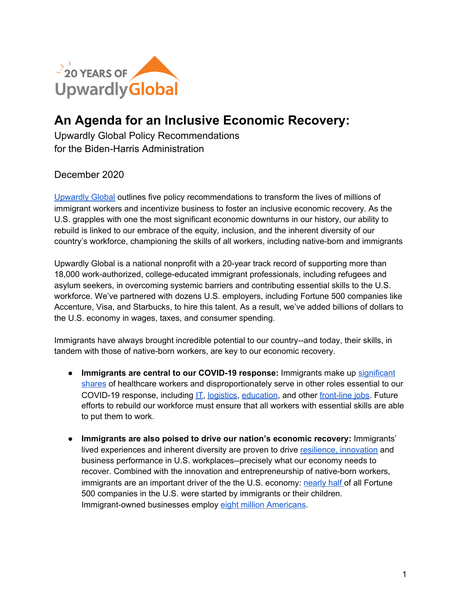

## **An Agenda for an Inclusive Economic Recovery:**

Upwardly Global Policy Recommendations for the Biden-Harris Administration

## December 2020

[Upwardly](https://www.upwardlyglobal.org/) Global outlines five policy recommendations to transform the lives of millions of immigrant workers and incentivize business to foster an inclusive economic recovery. As the U.S. grapples with one the most significant economic downturns in our history, our ability to rebuild is linked to our embrace of the equity, inclusion, and the inherent diversity of our country's workforce, championing the skills of all workers, including native-born and immigrants

Upwardly Global is a national nonprofit with a 20-year track record of supporting more than 18,000 work-authorized, college-educated immigrant professionals, including refugees and asylum seekers, in overcoming systemic barriers and contributing essential skills to the U.S. workforce. We've partnered with dozens U.S. employers, including Fortune 500 companies like Accenture, Visa, and Starbucks, to hire this talent. As a result, we've added billions of dollars to the U.S. economy in wages, taxes, and consumer spending.

Immigrants have always brought incredible potential to our country--and today, their skills, in tandem with those of native-born workers, are key to our economic recovery.

- **Immigrants are central to our COVID-19 response:** Immigrants make up [significant](https://research.newamericaneconomy.org/report/immigration-and-covid-19/) [shares](https://research.newamericaneconomy.org/report/immigration-and-covid-19/) of healthcare workers and disproportionately serve in other roles essential to our COVID-19 response, including [IT](https://research.newamericaneconomy.org/report/covid-19-immigrant-tech-workers/), [logistics](https://research.newamericaneconomy.org/report/immigration-and-covid-19/), [education](https://www.brookings.edu/blog/brown-center-chalkboard/2017/03/16/immigrant-teachers-play-a-critical-role-in-american-schools/#:~:text=Percent%20of%20K-12%20teachers%20who%20are%20immigrants&text=Immigrant%20teachers%20are%20not%20spread%20evenly%20across%20the%20United%20States.&text=To%20a%20considerable%20extent%2C%20there,numbers%20of%20foreign-born%20residents.), and other [front-line](https://research.newamericaneconomy.org/report/immigration-and-covid-19/) jobs. Future efforts to rebuild our workforce must ensure that all workers with essential skills are able to put them to work.
- **Immigrants are also poised to drive our nation's economic recovery:** Immigrants' lived experiences and inherent diversity are proven to drive [resilience,](https://sloanreview.mit.edu/article/the-link-between-diversity-and-resilience/) [innovation](https://hbr.org/2013/12/how-diversity-can-drive-innovation) and business performance in U.S. workplaces--precisely what our economy needs to recover. Combined with the innovation and entrepreneurship of native-born workers, immigrants are an important driver of the the U.S. economy: [nearly](https://www.brookings.edu/blog/the-avenue/2017/12/04/almost-half-of-fortune-500-companies-were-founded-by-american-immigrants-or-their-children/) half of all Fortune 500 companies in the U.S. were started by immigrants or their children. Immigrant-owned businesses employ eight million [Americans.](https://www.newamericaneconomy.org/press-release/new-data-shows-immigrant-owned-businesses-employed-8-million-americans-immigrants-wield-1-1-trillion-in-spending-power/)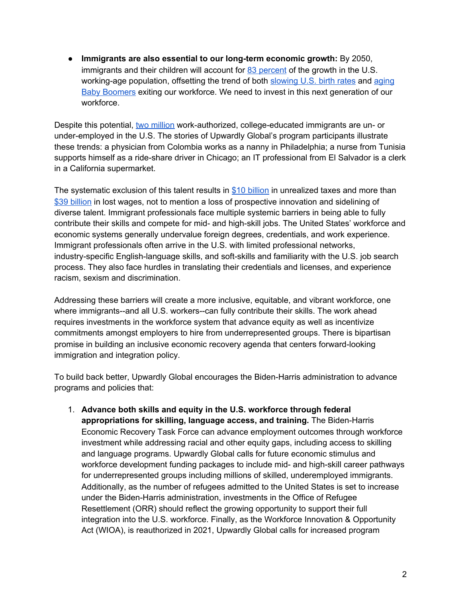● **Immigrants are also essential to our long-term economic growth:** By 2050, immigrants and their children will account for 83 [percent](https://docs.google.com/document/d/1IOi_nVmZByeXC-AVWUvFoQh3XvF9BPBR6hXB9DEOwoc/edit) of the growth in the U.S. working-age population, offsetting the trend of both [slowing](https://www.pewresearch.org/hispanic/2008/02/11/us-population-projections-2005-2050/) U.S. birth rates and [aging](https://www.pewresearch.org/hispanic/2008/02/11/us-population-projections-2005-2050/) Baby [Boomers](https://www.pewresearch.org/hispanic/2008/02/11/us-population-projections-2005-2050/) exiting our workforce. We need to invest in this next generation of our workforce.

Despite this potential, two [million](https://www.migrationpolicy.org/research/untapped-talent-costs-brain-waste-among-highly-skilled-immigrants-united-states) work-authorized, college-educated immigrants are un- or under-employed in the U.S. The stories of Upwardly Global's program participants illustrate these trends: a physician from Colombia works as a nanny in Philadelphia; a nurse from Tunisia supports himself as a ride-share driver in Chicago; an IT professional from El Salvador is a clerk in a California supermarket.

The systematic exclusion of this talent results in \$10 [billion](https://www.migrationpolicy.org/research/untapped-talent-costs-brain-waste-among-highly-skilled-immigrants-united-states) in unrealized taxes and more than \$39 [billion](https://www.migrationpolicy.org/research/untapped-talent-costs-brain-waste-among-highly-skilled-immigrants-united-states) in lost wages, not to mention a loss of prospective innovation and sidelining of diverse talent. Immigrant professionals face multiple systemic barriers in being able to fully contribute their skills and compete for mid- and high-skill jobs. The United States' workforce and economic systems generally undervalue foreign degrees, credentials, and work experience. Immigrant professionals often arrive in the U.S. with limited professional networks, industry-specific English-language skills, and soft-skills and familiarity with the U.S. job search process. They also face hurdles in translating their credentials and licenses, and experience racism, sexism and discrimination.

Addressing these barriers will create a more inclusive, equitable, and vibrant workforce, one where immigrants--and all U.S. workers--can fully contribute their skills. The work ahead requires investments in the workforce system that advance equity as well as incentivize commitments amongst employers to hire from underrepresented groups. There is bipartisan promise in building an inclusive economic recovery agenda that centers forward-looking immigration and integration policy.

To build back better, Upwardly Global encourages the Biden-Harris administration to advance programs and policies that:

1. **Advance both skills and equity in the U.S. workforce through federal appropriations for skilling, language access, and training.** The Biden-Harris Economic Recovery Task Force can advance employment outcomes through workforce investment while addressing racial and other equity gaps, including access to skilling and language programs. Upwardly Global calls for future economic stimulus and workforce development funding packages to include mid- and high-skill career pathways for underrepresented groups including millions of skilled, underemployed immigrants. Additionally, as the number of refugees admitted to the United States is set to increase under the Biden-Harris administration, investments in the Office of Refugee Resettlement (ORR) should reflect the growing opportunity to support their full integration into the U.S. workforce. Finally, as the Workforce Innovation & Opportunity Act (WIOA), is reauthorized in 2021, Upwardly Global calls for increased program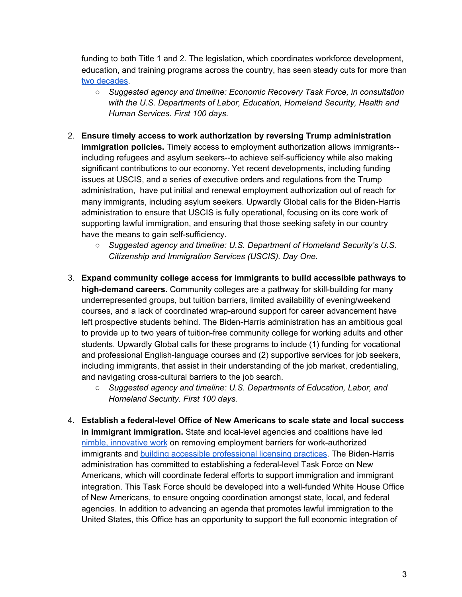funding to both Title 1 and 2. The legislation, which coordinates workforce development, education, and training programs across the country, has seen steady cuts for more than two [decades.](https://www.nationalskillscoalition.org/news/blog/despite-focus-from-the-administration-budget-falls-short-on-much-needed-investment-in-workforce-and-education-programs)

- *○ Suggested agency and timeline: Economic Recovery Task Force, in consultation with the U.S. Departments of Labor, Education, Homeland Security, Health and Human Services. First 100 days.*
- 2. **Ensure timely access to work authorization by reversing Trump administration immigration policies.** Timely access to employment authorization allows immigrants- including refugees and asylum seekers--to achieve self-sufficiency while also making significant contributions to our economy. Yet recent developments, including funding issues at USCIS, and a series of executive orders and regulations from the Trump administration, have put initial and renewal employment authorization out of reach for many immigrants, including asylum seekers. Upwardly Global calls for the Biden-Harris administration to ensure that USCIS is fully operational, focusing on its core work of supporting lawful immigration, and ensuring that those seeking safety in our country have the means to gain self-sufficiency.
	- *○ Suggested agency and timeline: U.S. Department of Homeland Security's U.S. Citizenship and Immigration Services (USCIS). Day One.*
- 3. **Expand community college access for immigrants to build accessible pathways to high-demand careers.** Community colleges are a pathway for skill-building for many underrepresented groups, but tuition barriers, limited availability of evening/weekend courses, and a lack of coordinated wrap-around support for career advancement have left prospective students behind. The Biden-Harris administration has an ambitious goal to provide up to two years of tuition-free community college for working adults and other students. Upwardly Global calls for these programs to include (1) funding for vocational and professional English-language courses and (2) supportive services for job seekers, including immigrants, that assist in their understanding of the job market, credentialing, and navigating cross-cultural barriers to the job search.
	- *○ Suggested agency and timeline: U.S. Departments of Education, Labor, and Homeland Security. First 100 days.*
- 4. **Establish a federal-level Office of New Americans to scale state and local success in immigrant immigration.** State and local-level agencies and coalitions have led nimble, [innovative](https://www.imprintproject.org/the-2019-policy-year-in-review/) work on removing employment barriers for work-authorized immigrants and building accessible [professional](https://www.upwardlyglobal.org/all-news/upwardly-global-applauds-six-states-welcoming-internationally-trained-healthcare-workers-to-front-lines-of-covid-19-response/) licensing practices. The Biden-Harris administration has committed to establishing a federal-level Task Force on New Americans, which will coordinate federal efforts to support immigration and immigrant integration. This Task Force should be developed into a well-funded White House Office of New Americans, to ensure ongoing coordination amongst state, local, and federal agencies. In addition to advancing an agenda that promotes lawful immigration to the United States, this Office has an opportunity to support the full economic integration of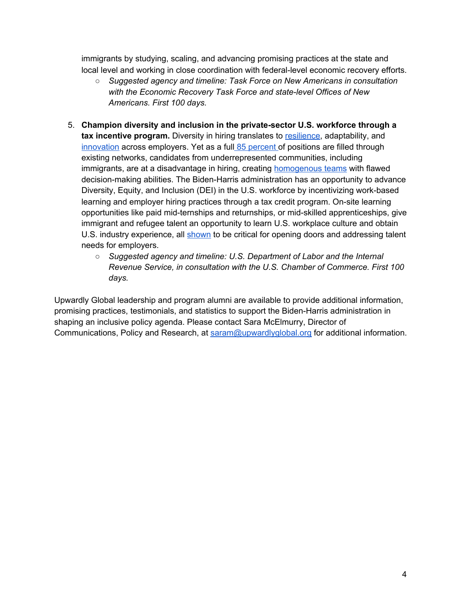immigrants by studying, scaling, and advancing promising practices at the state and local level and working in close coordination with federal-level economic recovery efforts.

- *○ Suggested agency and timeline: Task Force on New Americans in consultation with the Economic Recovery Task Force and state-level Offices of New Americans. First 100 days.*
- 5. **Champion diversity and inclusion in the private-sector U.S. workforce through a tax incentive program.** Diversity in hiring translates to [resilience](https://sloanreview.mit.edu/article/the-link-between-diversity-and-resilience/), adaptability, and [innovation](https://hbr.org/2013/12/how-diversity-can-drive-innovation) across employers. Yet as a full 85 [percent](https://www.linkedin.com/pulse/new-survey-reveals-85-all-jobs-filled-via-networking-lou-adler/) of positions are filled through existing networks, candidates from underrepresented communities, including immigrants, are at a disadvantage in hiring, creating **[homogenous](https://sloanreview.mit.edu/article/the-trouble-with-homogeneous-teams/) teams** with flawed decision-making abilities. The Biden-Harris administration has an opportunity to advance Diversity, Equity, and Inclusion (DEI) in the U.S. workforce by incentivizing work-based learning and employer hiring practices through a tax credit program. On-site learning opportunities like paid mid-ternships and returnships, or mid-skilled apprenticeships, give immigrant and refugee talent an opportunity to learn U.S. workplace culture and obtain U.S. industry experience, all [shown](https://hbr.org/2013/12/how-diversity-can-drive-innovation) to be critical for opening doors and addressing talent needs for employers.
	- *○ Suggested agency and timeline: U.S. Department of Labor and the Internal Revenue Service, in consultation with the U.S. Chamber of Commerce. First 100 days.*

Upwardly Global leadership and program alumni are available to provide additional information, promising practices, testimonials, and statistics to support the Biden-Harris administration in shaping an inclusive policy agenda. Please contact Sara McElmurry, Director of Communications, Policy and Research, at [saram@upwardlyglobal.org](mailto:saram@upwardlyglobal.org) for additional information.